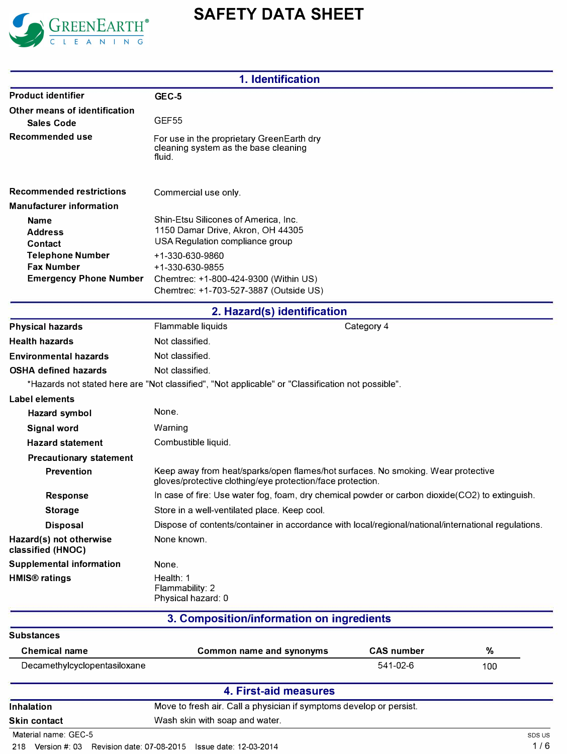

# **SAFETY DATA SHEET**

|                                              | 1. Identification                                                                                                                              |                   |     |
|----------------------------------------------|------------------------------------------------------------------------------------------------------------------------------------------------|-------------------|-----|
| <b>Product identifier</b>                    | GEC-5                                                                                                                                          |                   |     |
| Other means of identification                |                                                                                                                                                |                   |     |
| <b>Sales Code</b>                            | GEF <sub>55</sub>                                                                                                                              |                   |     |
| Recommended use                              | For use in the proprietary GreenEarth dry<br>cleaning system as the base cleaning<br>fluid.                                                    |                   |     |
| <b>Recommended restrictions</b>              | Commercial use only.                                                                                                                           |                   |     |
| <b>Manufacturer information</b>              |                                                                                                                                                |                   |     |
| <b>Name</b>                                  | Shin-Etsu Silicones of America, Inc.                                                                                                           |                   |     |
| <b>Address</b>                               | 1150 Damar Drive, Akron, OH 44305<br>USA Regulation compliance group                                                                           |                   |     |
| Contact<br><b>Telephone Number</b>           | +1-330-630-9860                                                                                                                                |                   |     |
| <b>Fax Number</b>                            | +1-330-630-9855                                                                                                                                |                   |     |
| <b>Emergency Phone Number</b>                | Chemtrec: +1-800-424-9300 (Within US)<br>Chemtrec: +1-703-527-3887 (Outside US)                                                                |                   |     |
|                                              | 2. Hazard(s) identification                                                                                                                    |                   |     |
| <b>Physical hazards</b>                      | Flammable liquids                                                                                                                              | Category 4        |     |
| <b>Health hazards</b>                        | Not classified.                                                                                                                                |                   |     |
| <b>Environmental hazards</b>                 | Not classified.                                                                                                                                |                   |     |
| <b>OSHA defined hazards</b>                  | Not classified.                                                                                                                                |                   |     |
|                                              | *Hazards not stated here are "Not classified", "Not applicable" or "Classification not possible".                                              |                   |     |
| Label elements                               |                                                                                                                                                |                   |     |
| Hazard symbol                                | None.                                                                                                                                          |                   |     |
| Signal word                                  | Warning                                                                                                                                        |                   |     |
| <b>Hazard statement</b>                      | Combustible liquid.                                                                                                                            |                   |     |
| <b>Precautionary statement</b>               |                                                                                                                                                |                   |     |
| <b>Prevention</b>                            | Keep away from heat/sparks/open flames/hot surfaces. No smoking. Wear protective<br>gloves/protective clothing/eye protection/face protection. |                   |     |
| <b>Response</b>                              | In case of fire: Use water fog, foam, dry chemical powder or carbon dioxide (CO2) to extinguish.                                               |                   |     |
| <b>Storage</b>                               | Store in a well-ventilated place. Keep cool.                                                                                                   |                   |     |
| <b>Disposal</b>                              | Dispose of contents/container in accordance with local/regional/national/international regulations.                                            |                   |     |
| Hazard(s) not otherwise<br>classified (HNOC) | None known.                                                                                                                                    |                   |     |
| <b>Supplemental information</b>              | None.                                                                                                                                          |                   |     |
| <b>HMIS®</b> ratings                         | Health: 1                                                                                                                                      |                   |     |
|                                              | Flammability: 2<br>Physical hazard: 0                                                                                                          |                   |     |
|                                              | 3. Composition/information on ingredients                                                                                                      |                   |     |
| <b>Substances</b>                            |                                                                                                                                                |                   |     |
| <b>Chemical name</b>                         | <b>Common name and synonyms</b>                                                                                                                | <b>CAS number</b> | %   |
| Decamethylcyclopentasiloxane                 |                                                                                                                                                | 541-02-6          | 100 |
|                                              | 4. First-aid measures                                                                                                                          |                   |     |
| <b>Inhalation</b>                            | Move to fresh air. Call a physician if symptoms develop or persist.                                                                            |                   |     |
| Skin contact                                 | Wash skin with soap and water.                                                                                                                 |                   |     |

Material name: GEC-5

218 Version#: 03 Revision date: 07-08-2015 Issue date: 12-03-2014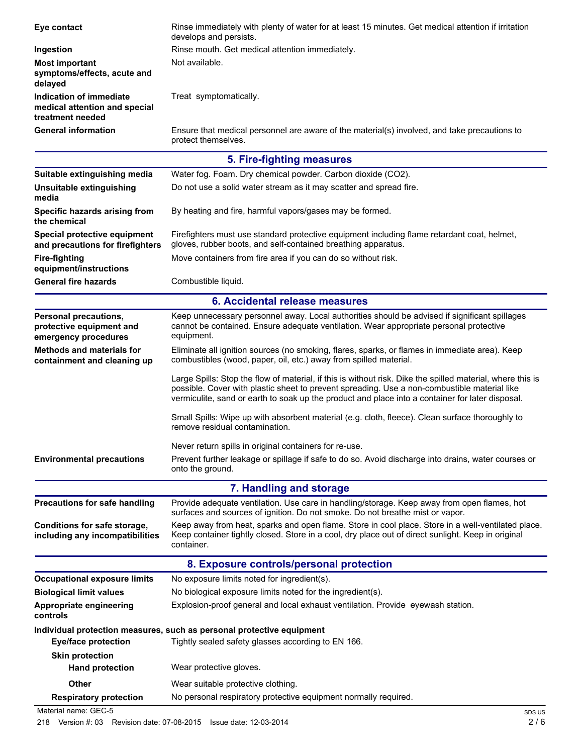| Eye contact                                                                      | Rinse immediately with plenty of water for at least 15 minutes. Get medical attention if irritation<br>develops and persists.                                                                                                                                                                                  |
|----------------------------------------------------------------------------------|----------------------------------------------------------------------------------------------------------------------------------------------------------------------------------------------------------------------------------------------------------------------------------------------------------------|
| Ingestion                                                                        | Rinse mouth. Get medical attention immediately.                                                                                                                                                                                                                                                                |
| <b>Most important</b><br>symptoms/effects, acute and<br>delayed                  | Not available.                                                                                                                                                                                                                                                                                                 |
| Indication of immediate<br>medical attention and special<br>treatment needed     | Treat symptomatically.                                                                                                                                                                                                                                                                                         |
| <b>General information</b>                                                       | Ensure that medical personnel are aware of the material(s) involved, and take precautions to<br>protect themselves.                                                                                                                                                                                            |
|                                                                                  | 5. Fire-fighting measures                                                                                                                                                                                                                                                                                      |
| Suitable extinguishing media                                                     | Water fog. Foam. Dry chemical powder. Carbon dioxide (CO2).                                                                                                                                                                                                                                                    |
| Unsuitable extinguishing<br>media                                                | Do not use a solid water stream as it may scatter and spread fire.                                                                                                                                                                                                                                             |
| Specific hazards arising from<br>the chemical                                    | By heating and fire, harmful vapors/gases may be formed.                                                                                                                                                                                                                                                       |
| Special protective equipment<br>and precautions for firefighters                 | Firefighters must use standard protective equipment including flame retardant coat, helmet,<br>gloves, rubber boots, and self-contained breathing apparatus.                                                                                                                                                   |
| <b>Fire-fighting</b><br>equipment/instructions                                   | Move containers from fire area if you can do so without risk.                                                                                                                                                                                                                                                  |
| <b>General fire hazards</b>                                                      | Combustible liquid.                                                                                                                                                                                                                                                                                            |
|                                                                                  | 6. Accidental release measures                                                                                                                                                                                                                                                                                 |
| <b>Personal precautions,</b><br>protective equipment and<br>emergency procedures | Keep unnecessary personnel away. Local authorities should be advised if significant spillages<br>cannot be contained. Ensure adequate ventilation. Wear appropriate personal protective<br>equipment.                                                                                                          |
| <b>Methods and materials for</b><br>containment and cleaning up                  | Eliminate all ignition sources (no smoking, flares, sparks, or flames in immediate area). Keep<br>combustibles (wood, paper, oil, etc.) away from spilled material.                                                                                                                                            |
|                                                                                  | Large Spills: Stop the flow of material, if this is without risk. Dike the spilled material, where this is<br>possible. Cover with plastic sheet to prevent spreading. Use a non-combustible material like<br>vermiculite, sand or earth to soak up the product and place into a container for later disposal. |
|                                                                                  | Small Spills: Wipe up with absorbent material (e.g. cloth, fleece). Clean surface thoroughly to<br>remove residual contamination.                                                                                                                                                                              |
|                                                                                  | Never return spills in original containers for re-use                                                                                                                                                                                                                                                          |
| <b>Environmental precautions</b>                                                 | Prevent further leakage or spillage if safe to do so. Avoid discharge into drains, water courses or<br>onto the ground.                                                                                                                                                                                        |
|                                                                                  | 7. Handling and storage                                                                                                                                                                                                                                                                                        |
| <b>Precautions for safe handling</b>                                             | Provide adequate ventilation. Use care in handling/storage. Keep away from open flames, hot<br>surfaces and sources of ignition. Do not smoke. Do not breathe mist or vapor.                                                                                                                                   |
| Conditions for safe storage,<br>including any incompatibilities                  | Keep away from heat, sparks and open flame. Store in cool place. Store in a well-ventilated place.<br>Keep container tightly closed. Store in a cool, dry place out of direct sunlight. Keep in original<br>container.                                                                                         |
|                                                                                  | 8. Exposure controls/personal protection                                                                                                                                                                                                                                                                       |
| <b>Occupational exposure limits</b>                                              | No exposure limits noted for ingredient(s).                                                                                                                                                                                                                                                                    |
| <b>Biological limit values</b>                                                   | No biological exposure limits noted for the ingredient(s).                                                                                                                                                                                                                                                     |
| <b>Appropriate engineering</b><br>controls                                       | Explosion-proof general and local exhaust ventilation. Provide eyewash station.                                                                                                                                                                                                                                |
|                                                                                  | Individual protection measures, such as personal protective equipment                                                                                                                                                                                                                                          |
| <b>Eye/face protection</b>                                                       | Tightly sealed safety glasses according to EN 166.                                                                                                                                                                                                                                                             |
| <b>Skin protection</b><br><b>Hand protection</b>                                 | Wear protective gloves.                                                                                                                                                                                                                                                                                        |
| <b>Other</b>                                                                     | Wear suitable protective clothing.                                                                                                                                                                                                                                                                             |
| <b>Respiratory protection</b>                                                    | No personal respiratory protective equipment normally required.                                                                                                                                                                                                                                                |

Material name: GEC-5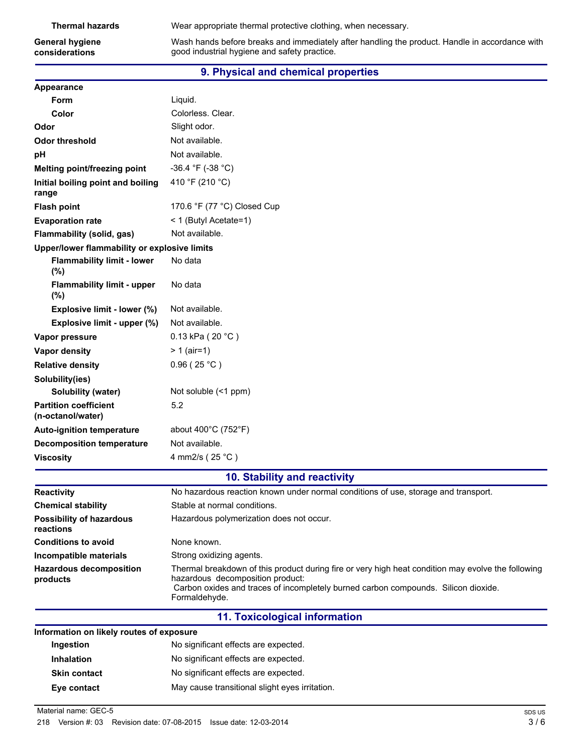#### **General hygiene considerations**

Wash hands before breaks and immediately after handling the product. Handle in accordance with good industrial hygiene and safety practice.

# **9. Physical and chemical properties**

| <b>Appearance</b> |
|-------------------|

| Information on likely routes of exposure                  |                                                                                                                                                                                                                                               |
|-----------------------------------------------------------|-----------------------------------------------------------------------------------------------------------------------------------------------------------------------------------------------------------------------------------------------|
|                                                           | <b>11. Toxicological information</b>                                                                                                                                                                                                          |
| <b>Hazardous decomposition</b><br>products                | Thermal breakdown of this product during fire or very high heat condition may evolve the following<br>hazardous decomposition product:<br>Carbon oxides and traces of incompletely burned carbon compounds. Silicon dioxide.<br>Formaldehyde. |
| Incompatible materials                                    | Strong oxidizing agents.                                                                                                                                                                                                                      |
| <b>Conditions to avoid</b>                                | None known.                                                                                                                                                                                                                                   |
| <b>Possibility of hazardous</b><br>reactions              | Hazardous polymerization does not occur.                                                                                                                                                                                                      |
| <b>Chemical stability</b>                                 | Stable at normal conditions.                                                                                                                                                                                                                  |
| <b>Reactivity</b>                                         | No hazardous reaction known under normal conditions of use, storage and transport.                                                                                                                                                            |
|                                                           | 10. Stability and reactivity                                                                                                                                                                                                                  |
| <b>Viscosity</b>                                          | 4 mm2/s (25 °C)                                                                                                                                                                                                                               |
| <b>Decomposition temperature</b>                          | Not available.                                                                                                                                                                                                                                |
| <b>Auto-ignition temperature</b>                          | about 400°C (752°F)                                                                                                                                                                                                                           |
| (n-octanol/water)                                         |                                                                                                                                                                                                                                               |
| <b>Solubility (water)</b><br><b>Partition coefficient</b> | Not soluble (<1 ppm)<br>5.2                                                                                                                                                                                                                   |
| Solubility(ies)                                           |                                                                                                                                                                                                                                               |
| <b>Relative density</b>                                   | 0.96(25 °C)                                                                                                                                                                                                                                   |
| <b>Vapor density</b>                                      | $> 1$ (air=1)                                                                                                                                                                                                                                 |
| Vapor pressure                                            | 0.13 kPa ( $20 °C$ )                                                                                                                                                                                                                          |
| Explosive limit - upper (%)                               | Not available.                                                                                                                                                                                                                                |
| Explosive limit - lower (%)                               | Not available.                                                                                                                                                                                                                                |
| <b>Flammability limit - upper</b><br>$(\% )$              | No data                                                                                                                                                                                                                                       |
| <b>Flammability limit - lower</b><br>(%)                  | No data                                                                                                                                                                                                                                       |
| Upper/lower flammability or explosive limits              |                                                                                                                                                                                                                                               |
| <b>Flammability (solid, gas)</b>                          | Not available.                                                                                                                                                                                                                                |
| <b>Evaporation rate</b>                                   | < 1 (Butyl Acetate=1)                                                                                                                                                                                                                         |
| <b>Flash point</b>                                        | 170.6 °F (77 °C) Closed Cup                                                                                                                                                                                                                   |
| Initial boiling point and boiling<br>range                | 410 °F (210 °C)                                                                                                                                                                                                                               |
| Melting point/freezing point                              | -36.4 °F (-38 °C)                                                                                                                                                                                                                             |
| рH                                                        | Not available.                                                                                                                                                                                                                                |
| <b>Odor threshold</b>                                     | Not available.                                                                                                                                                                                                                                |
| Odor                                                      | Slight odor.                                                                                                                                                                                                                                  |
| Color                                                     | Colorless, Clear.                                                                                                                                                                                                                             |
| Form                                                      | Liquid.                                                                                                                                                                                                                                       |

| <u>liorination on likely routes of exposure</u> |                                                |  |
|-------------------------------------------------|------------------------------------------------|--|
| Ingestion                                       | No significant effects are expected.           |  |
| <b>Inhalation</b>                               | No significant effects are expected.           |  |
| <b>Skin contact</b>                             | No significant effects are expected.           |  |
| Eye contact                                     | May cause transitional slight eyes irritation. |  |
|                                                 |                                                |  |

Material name: GEC-5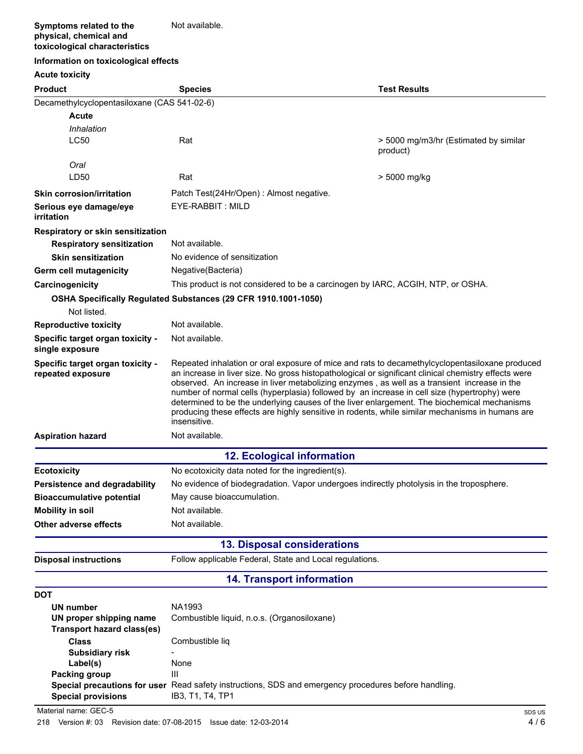**Symptoms related to the physical, chemical and toxicological characteristics** Not available.

### **Information on toxicological effects**

| <b>Acute toxicity</b>                                        |                                                                                                                                                                                                                                                                                                                                                                                                                                                                                                                                                                                                                         |                                                   |
|--------------------------------------------------------------|-------------------------------------------------------------------------------------------------------------------------------------------------------------------------------------------------------------------------------------------------------------------------------------------------------------------------------------------------------------------------------------------------------------------------------------------------------------------------------------------------------------------------------------------------------------------------------------------------------------------------|---------------------------------------------------|
| <b>Product</b>                                               | <b>Species</b>                                                                                                                                                                                                                                                                                                                                                                                                                                                                                                                                                                                                          | <b>Test Results</b>                               |
| Decamethylcyclopentasiloxane (CAS 541-02-6)                  |                                                                                                                                                                                                                                                                                                                                                                                                                                                                                                                                                                                                                         |                                                   |
| Acute                                                        |                                                                                                                                                                                                                                                                                                                                                                                                                                                                                                                                                                                                                         |                                                   |
| Inhalation                                                   |                                                                                                                                                                                                                                                                                                                                                                                                                                                                                                                                                                                                                         |                                                   |
| <b>LC50</b>                                                  | Rat                                                                                                                                                                                                                                                                                                                                                                                                                                                                                                                                                                                                                     | > 5000 mg/m3/hr (Estimated by similar<br>product) |
| Oral                                                         |                                                                                                                                                                                                                                                                                                                                                                                                                                                                                                                                                                                                                         |                                                   |
| LD50                                                         | Rat                                                                                                                                                                                                                                                                                                                                                                                                                                                                                                                                                                                                                     | > 5000 mg/kg                                      |
| <b>Skin corrosion/irritation</b>                             | Patch Test(24Hr/Open) : Almost negative.                                                                                                                                                                                                                                                                                                                                                                                                                                                                                                                                                                                |                                                   |
| Serious eye damage/eye<br>irritation                         | EYE-RABBIT: MILD                                                                                                                                                                                                                                                                                                                                                                                                                                                                                                                                                                                                        |                                                   |
| <b>Respiratory or skin sensitization</b>                     |                                                                                                                                                                                                                                                                                                                                                                                                                                                                                                                                                                                                                         |                                                   |
| <b>Respiratory sensitization</b>                             | Not available.                                                                                                                                                                                                                                                                                                                                                                                                                                                                                                                                                                                                          |                                                   |
| <b>Skin sensitization</b>                                    | No evidence of sensitization                                                                                                                                                                                                                                                                                                                                                                                                                                                                                                                                                                                            |                                                   |
| Germ cell mutagenicity                                       | Negative(Bacteria)                                                                                                                                                                                                                                                                                                                                                                                                                                                                                                                                                                                                      |                                                   |
| Carcinogenicity                                              | This product is not considered to be a carcinogen by IARC, ACGIH, NTP, or OSHA.                                                                                                                                                                                                                                                                                                                                                                                                                                                                                                                                         |                                                   |
|                                                              | OSHA Specifically Regulated Substances (29 CFR 1910.1001-1050)                                                                                                                                                                                                                                                                                                                                                                                                                                                                                                                                                          |                                                   |
| Not listed.                                                  |                                                                                                                                                                                                                                                                                                                                                                                                                                                                                                                                                                                                                         |                                                   |
| <b>Reproductive toxicity</b>                                 | Not available.                                                                                                                                                                                                                                                                                                                                                                                                                                                                                                                                                                                                          |                                                   |
| Specific target organ toxicity -<br>single exposure          | Not available.                                                                                                                                                                                                                                                                                                                                                                                                                                                                                                                                                                                                          |                                                   |
| Specific target organ toxicity -<br>repeated exposure        | Repeated inhalation or oral exposure of mice and rats to decamethylcyclopentasiloxane produced<br>an increase in liver size. No gross histopathological or significant clinical chemistry effects were<br>observed. An increase in liver metabolizing enzymes, as well as a transient increase in the<br>number of normal cells (hyperplasia) followed by an increase in cell size (hypertrophy) were<br>determined to be the underlying causes of the liver enlargement. The biochemical mechanisms<br>producing these effects are highly sensitive in rodents, while similar mechanisms in humans are<br>insensitive. |                                                   |
| <b>Aspiration hazard</b>                                     | Not available.                                                                                                                                                                                                                                                                                                                                                                                                                                                                                                                                                                                                          |                                                   |
|                                                              | <b>12. Ecological information</b>                                                                                                                                                                                                                                                                                                                                                                                                                                                                                                                                                                                       |                                                   |
| <b>Ecotoxicity</b>                                           | No ecotoxicity data noted for the ingredient(s).                                                                                                                                                                                                                                                                                                                                                                                                                                                                                                                                                                        |                                                   |
| <b>Persistence and degradability</b>                         | No evidence of biodegradation. Vapor undergoes indirectly photolysis in the troposphere.                                                                                                                                                                                                                                                                                                                                                                                                                                                                                                                                |                                                   |
| <b>Bioaccumulative potential</b>                             | May cause bioaccumulation.                                                                                                                                                                                                                                                                                                                                                                                                                                                                                                                                                                                              |                                                   |
| <b>Mobility in soil</b>                                      | Not available.                                                                                                                                                                                                                                                                                                                                                                                                                                                                                                                                                                                                          |                                                   |
| Other adverse effects                                        | Not available.                                                                                                                                                                                                                                                                                                                                                                                                                                                                                                                                                                                                          |                                                   |
|                                                              | <b>13. Disposal considerations</b>                                                                                                                                                                                                                                                                                                                                                                                                                                                                                                                                                                                      |                                                   |
| <b>Disposal instructions</b>                                 | Follow applicable Federal, State and Local regulations.                                                                                                                                                                                                                                                                                                                                                                                                                                                                                                                                                                 |                                                   |
|                                                              | <b>14. Transport information</b>                                                                                                                                                                                                                                                                                                                                                                                                                                                                                                                                                                                        |                                                   |
| <b>DOT</b>                                                   |                                                                                                                                                                                                                                                                                                                                                                                                                                                                                                                                                                                                                         |                                                   |
| <b>UN number</b>                                             | NA1993                                                                                                                                                                                                                                                                                                                                                                                                                                                                                                                                                                                                                  |                                                   |
| UN proper shipping name<br><b>Transport hazard class(es)</b> | Combustible liquid, n.o.s. (Organosiloxane)                                                                                                                                                                                                                                                                                                                                                                                                                                                                                                                                                                             |                                                   |
| <b>Class</b>                                                 | Combustible liq                                                                                                                                                                                                                                                                                                                                                                                                                                                                                                                                                                                                         |                                                   |
| <b>Subsidiary risk</b>                                       |                                                                                                                                                                                                                                                                                                                                                                                                                                                                                                                                                                                                                         |                                                   |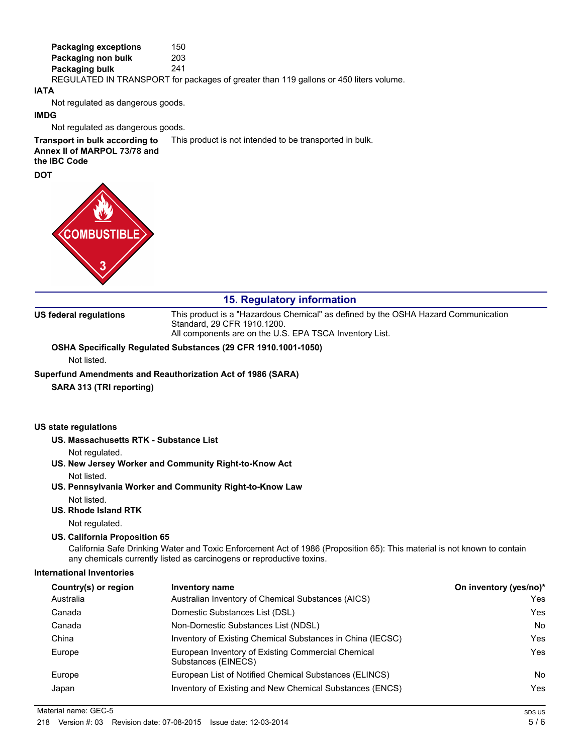| <b>Packaging exceptions</b> | 150                                                                                   |
|-----------------------------|---------------------------------------------------------------------------------------|
| Packaging non bulk          | 203                                                                                   |
| Packaging bulk              | 241                                                                                   |
|                             | REGULATED IN TRANSPORT for packages of greater than 119 gallons or 450 liters volume. |

#### **IATA**

Not regulated as dangerous goods.

#### **IMDG**

Not regulated as dangerous goods.

**Transport in bulk according to** This product is not intended to be transported in bulk. **Annex II of MARPOL 73/78 and the IBC Code**



# **15. Regulatory information**

**US federal regulations** This product is a "Hazardous Chemical" as defined by the OSHA Hazard Communication Standard, 29 CFR 1910.1200. All components are on the U.S. EPA TSCA Inventory List.

**OSHA Specifically Regulated Substances (29 CFR 1910.1001-1050)** Not listed.

**Superfund Amendments and Reauthorization Act of 1986 (SARA)**

**SARA 313 (TRI reporting)**

#### **US state regulations**

**US. Massachusetts RTK - Substance List**

Not regulated.

- **US. New Jersey Worker and Community Right-to-Know Act**
	- Not listed.
- **US. Pennsylvania Worker and Community Right-to-Know Law**
- Not listed.
- **US. Rhode Island RTK**

Not regulated.

**US. California Proposition 65**

California Safe Drinking Water and Toxic Enforcement Act of 1986 (Proposition 65): This material is not known to contain any chemicals currently listed as carcinogens or reproductive toxins.

## **International Inventories**

| Country(s) or region | Inventory name                                                            | On inventory (yes/no)* |
|----------------------|---------------------------------------------------------------------------|------------------------|
| Australia            | Australian Inventory of Chemical Substances (AICS)                        | Yes                    |
| Canada               | Domestic Substances List (DSL)                                            | Yes                    |
| Canada               | Non-Domestic Substances List (NDSL)                                       | <b>No</b>              |
| China                | Inventory of Existing Chemical Substances in China (IECSC)                | Yes                    |
| Europe               | European Inventory of Existing Commercial Chemical<br>Substances (EINECS) | Yes                    |
| Europe               | European List of Notified Chemical Substances (ELINCS)                    | No                     |
| Japan                | Inventory of Existing and New Chemical Substances (ENCS)                  | Yes                    |